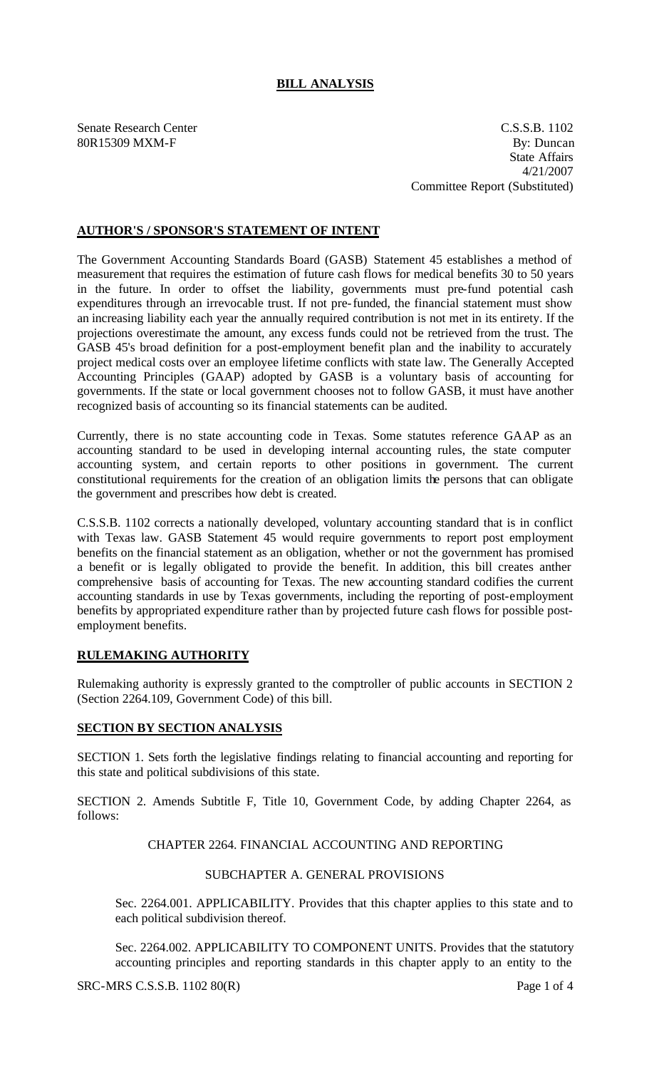# **BILL ANALYSIS**

Senate Research Center C.S.S.B. 1102 80R15309 MXM-F By: Duncan State Affairs 4/21/2007 Committee Report (Substituted)

## **AUTHOR'S / SPONSOR'S STATEMENT OF INTENT**

The Government Accounting Standards Board (GASB) Statement 45 establishes a method of measurement that requires the estimation of future cash flows for medical benefits 30 to 50 years in the future. In order to offset the liability, governments must pre-fund potential cash expenditures through an irrevocable trust. If not pre-funded, the financial statement must show an increasing liability each year the annually required contribution is not met in its entirety. If the projections overestimate the amount, any excess funds could not be retrieved from the trust. The GASB 45's broad definition for a post-employment benefit plan and the inability to accurately project medical costs over an employee lifetime conflicts with state law. The Generally Accepted Accounting Principles (GAAP) adopted by GASB is a voluntary basis of accounting for governments. If the state or local government chooses not to follow GASB, it must have another recognized basis of accounting so its financial statements can be audited.

Currently, there is no state accounting code in Texas. Some statutes reference GAAP as an accounting standard to be used in developing internal accounting rules, the state computer accounting system, and certain reports to other positions in government. The current constitutional requirements for the creation of an obligation limits the persons that can obligate the government and prescribes how debt is created.

C.S.S.B. 1102 corrects a nationally developed, voluntary accounting standard that is in conflict with Texas law. GASB Statement 45 would require governments to report post employment benefits on the financial statement as an obligation, whether or not the government has promised a benefit or is legally obligated to provide the benefit. In addition, this bill creates anther comprehensive basis of accounting for Texas. The new accounting standard codifies the current accounting standards in use by Texas governments, including the reporting of post-employment benefits by appropriated expenditure rather than by projected future cash flows for possible postemployment benefits.

# **RULEMAKING AUTHORITY**

Rulemaking authority is expressly granted to the comptroller of public accounts in SECTION 2 (Section 2264.109, Government Code) of this bill.

### **SECTION BY SECTION ANALYSIS**

SECTION 1. Sets forth the legislative findings relating to financial accounting and reporting for this state and political subdivisions of this state.

SECTION 2. Amends Subtitle F, Title 10, Government Code, by adding Chapter 2264, as follows:

### CHAPTER 2264. FINANCIAL ACCOUNTING AND REPORTING

#### SUBCHAPTER A. GENERAL PROVISIONS

Sec. 2264.001. APPLICABILITY. Provides that this chapter applies to this state and to each political subdivision thereof.

Sec. 2264.002. APPLICABILITY TO COMPONENT UNITS. Provides that the statutory accounting principles and reporting standards in this chapter apply to an entity to the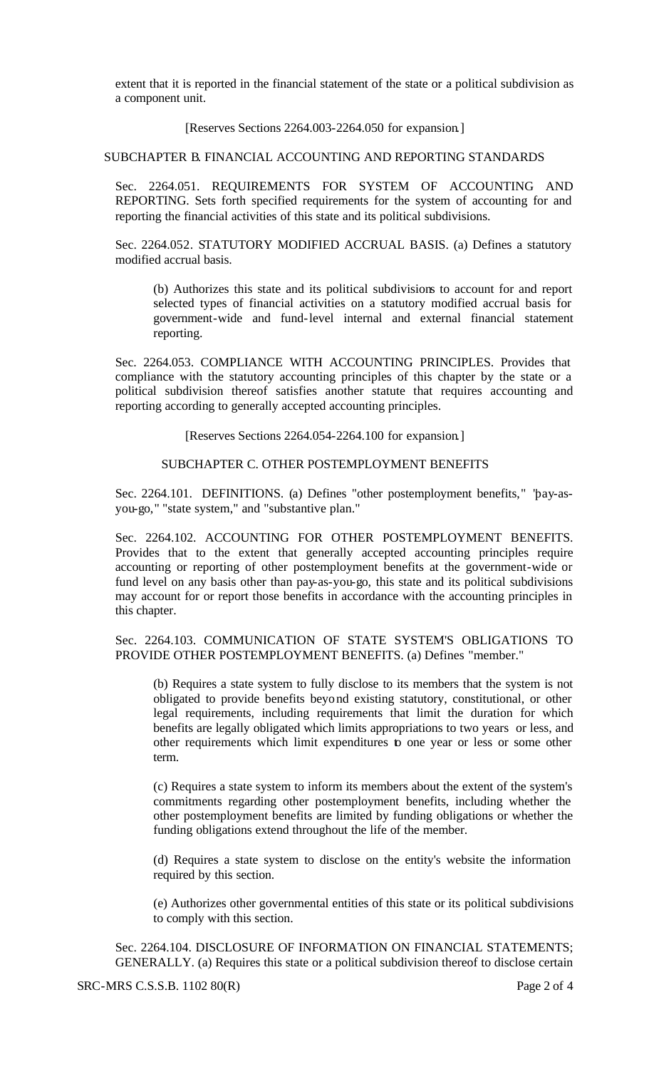extent that it is reported in the financial statement of the state or a political subdivision as a component unit.

#### [Reserves Sections 2264.003-2264.050 for expansion.]

#### SUBCHAPTER B. FINANCIAL ACCOUNTING AND REPORTING STANDARDS

Sec. 2264.051. REQUIREMENTS FOR SYSTEM OF ACCOUNTING AND REPORTING. Sets forth specified requirements for the system of accounting for and reporting the financial activities of this state and its political subdivisions.

Sec. 2264.052. STATUTORY MODIFIED ACCRUAL BASIS. (a) Defines a statutory modified accrual basis.

(b) Authorizes this state and its political subdivisions to account for and report selected types of financial activities on a statutory modified accrual basis for government-wide and fund-level internal and external financial statement reporting.

Sec. 2264.053. COMPLIANCE WITH ACCOUNTING PRINCIPLES. Provides that compliance with the statutory accounting principles of this chapter by the state or a political subdivision thereof satisfies another statute that requires accounting and reporting according to generally accepted accounting principles.

[Reserves Sections 2264.054-2264.100 for expansion.]

### SUBCHAPTER C. OTHER POSTEMPLOYMENT BENEFITS

Sec. 2264.101. DEFINITIONS. (a) Defines "other postemployment benefits," "pay-asyou-go," "state system," and "substantive plan."

Sec. 2264.102. ACCOUNTING FOR OTHER POSTEMPLOYMENT BENEFITS. Provides that to the extent that generally accepted accounting principles require accounting or reporting of other postemployment benefits at the government-wide or fund level on any basis other than pay-as-you-go, this state and its political subdivisions may account for or report those benefits in accordance with the accounting principles in this chapter.

Sec. 2264.103. COMMUNICATION OF STATE SYSTEM'S OBLIGATIONS TO PROVIDE OTHER POSTEMPLOYMENT BENEFITS. (a) Defines "member."

(b) Requires a state system to fully disclose to its members that the system is not obligated to provide benefits beyond existing statutory, constitutional, or other legal requirements, including requirements that limit the duration for which benefits are legally obligated which limits appropriations to two years or less, and other requirements which limit expenditures to one year or less or some other term.

(c) Requires a state system to inform its members about the extent of the system's commitments regarding other postemployment benefits, including whether the other postemployment benefits are limited by funding obligations or whether the funding obligations extend throughout the life of the member.

(d) Requires a state system to disclose on the entity's website the information required by this section.

(e) Authorizes other governmental entities of this state or its political subdivisions to comply with this section.

Sec. 2264.104. DISCLOSURE OF INFORMATION ON FINANCIAL STATEMENTS; GENERALLY. (a) Requires this state or a political subdivision thereof to disclose certain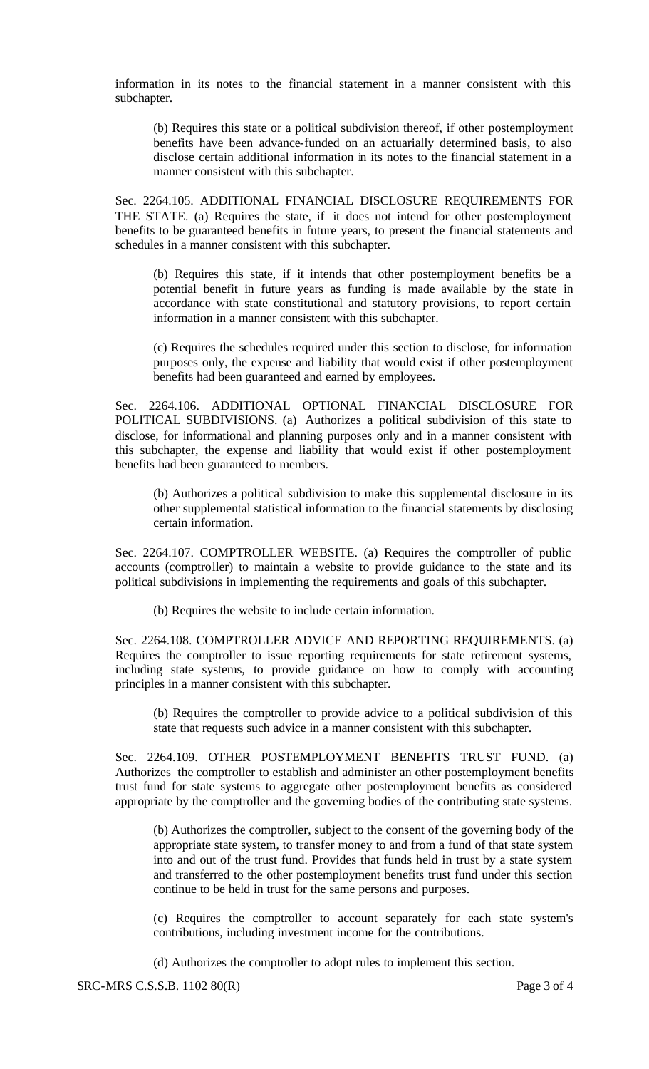information in its notes to the financial statement in a manner consistent with this subchapter.

(b) Requires this state or a political subdivision thereof, if other postemployment benefits have been advance-funded on an actuarially determined basis, to also disclose certain additional information in its notes to the financial statement in a manner consistent with this subchapter.

Sec. 2264.105. ADDITIONAL FINANCIAL DISCLOSURE REQUIREMENTS FOR THE STATE. (a) Requires the state, if it does not intend for other postemployment benefits to be guaranteed benefits in future years, to present the financial statements and schedules in a manner consistent with this subchapter.

(b) Requires this state, if it intends that other postemployment benefits be a potential benefit in future years as funding is made available by the state in accordance with state constitutional and statutory provisions, to report certain information in a manner consistent with this subchapter.

(c) Requires the schedules required under this section to disclose, for information purposes only, the expense and liability that would exist if other postemployment benefits had been guaranteed and earned by employees.

Sec. 2264.106. ADDITIONAL OPTIONAL FINANCIAL DISCLOSURE FOR POLITICAL SUBDIVISIONS. (a) Authorizes a political subdivision of this state to disclose, for informational and planning purposes only and in a manner consistent with this subchapter, the expense and liability that would exist if other postemployment benefits had been guaranteed to members.

(b) Authorizes a political subdivision to make this supplemental disclosure in its other supplemental statistical information to the financial statements by disclosing certain information.

Sec. 2264.107. COMPTROLLER WEBSITE. (a) Requires the comptroller of public accounts (comptroller) to maintain a website to provide guidance to the state and its political subdivisions in implementing the requirements and goals of this subchapter.

(b) Requires the website to include certain information.

Sec. 2264.108. COMPTROLLER ADVICE AND REPORTING REQUIREMENTS. (a) Requires the comptroller to issue reporting requirements for state retirement systems, including state systems, to provide guidance on how to comply with accounting principles in a manner consistent with this subchapter.

(b) Requires the comptroller to provide advice to a political subdivision of this state that requests such advice in a manner consistent with this subchapter.

Sec. 2264.109. OTHER POSTEMPLOYMENT BENEFITS TRUST FUND. (a) Authorizes the comptroller to establish and administer an other postemployment benefits trust fund for state systems to aggregate other postemployment benefits as considered appropriate by the comptroller and the governing bodies of the contributing state systems.

(b) Authorizes the comptroller, subject to the consent of the governing body of the appropriate state system, to transfer money to and from a fund of that state system into and out of the trust fund. Provides that funds held in trust by a state system and transferred to the other postemployment benefits trust fund under this section continue to be held in trust for the same persons and purposes.

(c) Requires the comptroller to account separately for each state system's contributions, including investment income for the contributions.

(d) Authorizes the comptroller to adopt rules to implement this section.